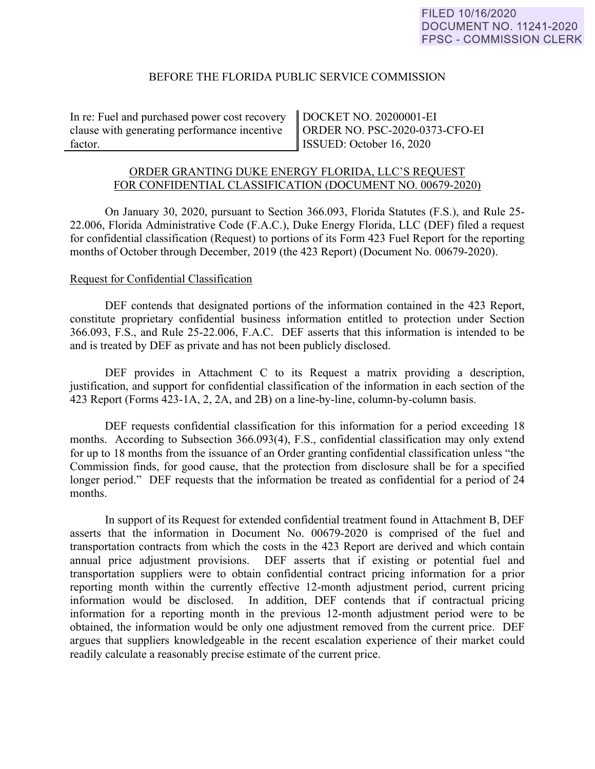# BEFORE THE FLORIDA PUBLIC SERVICE COMMISSION

In re: Fuel and purchased power cost recovery clause with generating performance incentive factor.

DOCKET NO. 20200001-EI ORDER NO. PSC-2020-0373-CFO-EI ISSUED: October 16, 2020

## ORDER GRANTING DUKE ENERGY FLORIDA, LLC'S REQUEST FOR CONFIDENTIAL CLASSIFICATION (DOCUMENT NO. 00679-2020)

On January 30, 2020, pursuant to Section 366.093, Florida Statutes (F.S.), and Rule 25- 22.006, Florida Administrative Code (F.A.C.), Duke Energy Florida, LLC (DEF) filed a request for confidential classification (Request) to portions of its Form 423 Fuel Report for the reporting months of October through December, 2019 (the 423 Report) (Document No. 00679-2020).

#### Request for Confidential Classification

 DEF contends that designated portions of the information contained in the 423 Report, constitute proprietary confidential business information entitled to protection under Section 366.093, F.S., and Rule 25-22.006, F.A.C. DEF asserts that this information is intended to be and is treated by DEF as private and has not been publicly disclosed.

DEF provides in Attachment C to its Request a matrix providing a description, justification, and support for confidential classification of the information in each section of the 423 Report (Forms 423-1A, 2, 2A, and 2B) on a line-by-line, column-by-column basis.

 DEF requests confidential classification for this information for a period exceeding 18 months. According to Subsection 366.093(4), F.S., confidential classification may only extend for up to 18 months from the issuance of an Order granting confidential classification unless "the Commission finds, for good cause, that the protection from disclosure shall be for a specified longer period." DEF requests that the information be treated as confidential for a period of 24 months.

 In support of its Request for extended confidential treatment found in Attachment B, DEF asserts that the information in Document No. 00679-2020 is comprised of the fuel and transportation contracts from which the costs in the 423 Report are derived and which contain annual price adjustment provisions. DEF asserts that if existing or potential fuel and transportation suppliers were to obtain confidential contract pricing information for a prior reporting month within the currently effective 12-month adjustment period, current pricing information would be disclosed. In addition, DEF contends that if contractual pricing information for a reporting month in the previous 12-month adjustment period were to be obtained, the information would be only one adjustment removed from the current price. DEF argues that suppliers knowledgeable in the recent escalation experience of their market could readily calculate a reasonably precise estimate of the current price.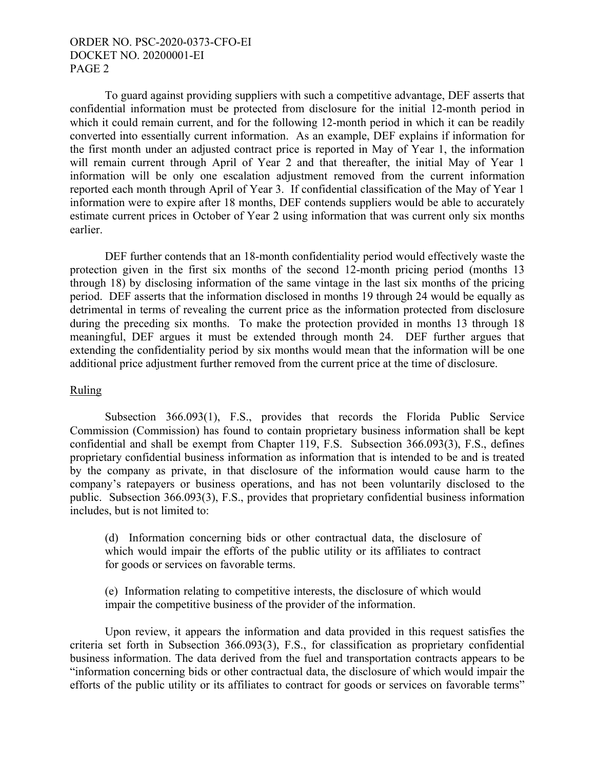# ORDER NO. PSC-2020-0373-CFO-EI DOCKET NO. 20200001-EI PAGE 2

To guard against providing suppliers with such a competitive advantage, DEF asserts that confidential information must be protected from disclosure for the initial 12-month period in which it could remain current, and for the following 12-month period in which it can be readily converted into essentially current information. As an example, DEF explains if information for the first month under an adjusted contract price is reported in May of Year 1, the information will remain current through April of Year 2 and that thereafter, the initial May of Year 1 information will be only one escalation adjustment removed from the current information reported each month through April of Year 3. If confidential classification of the May of Year 1 information were to expire after 18 months, DEF contends suppliers would be able to accurately estimate current prices in October of Year 2 using information that was current only six months earlier.

DEF further contends that an 18-month confidentiality period would effectively waste the protection given in the first six months of the second 12-month pricing period (months 13 through 18) by disclosing information of the same vintage in the last six months of the pricing period. DEF asserts that the information disclosed in months 19 through 24 would be equally as detrimental in terms of revealing the current price as the information protected from disclosure during the preceding six months. To make the protection provided in months 13 through 18 meaningful, DEF argues it must be extended through month 24. DEF further argues that extending the confidentiality period by six months would mean that the information will be one additional price adjustment further removed from the current price at the time of disclosure.

### Ruling

Subsection 366.093(1), F.S., provides that records the Florida Public Service Commission (Commission) has found to contain proprietary business information shall be kept confidential and shall be exempt from Chapter 119, F.S. Subsection 366.093(3), F.S., defines proprietary confidential business information as information that is intended to be and is treated by the company as private, in that disclosure of the information would cause harm to the company's ratepayers or business operations, and has not been voluntarily disclosed to the public. Subsection 366.093(3), F.S., provides that proprietary confidential business information includes, but is not limited to:

(d) Information concerning bids or other contractual data, the disclosure of which would impair the efforts of the public utility or its affiliates to contract for goods or services on favorable terms.

(e) Information relating to competitive interests, the disclosure of which would impair the competitive business of the provider of the information.

Upon review, it appears the information and data provided in this request satisfies the criteria set forth in Subsection 366.093(3), F.S., for classification as proprietary confidential business information. The data derived from the fuel and transportation contracts appears to be "information concerning bids or other contractual data, the disclosure of which would impair the efforts of the public utility or its affiliates to contract for goods or services on favorable terms"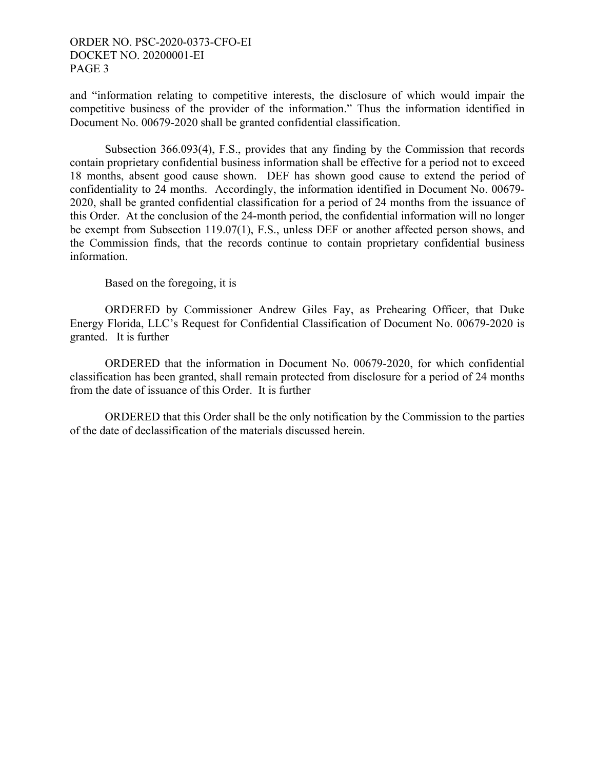# ORDER NO. PSC-2020-0373-CFO-EI DOCKET NO. 20200001-EI PAGE 3

and "information relating to competitive interests, the disclosure of which would impair the competitive business of the provider of the information." Thus the information identified in Document No. 00679-2020 shall be granted confidential classification.

Subsection 366.093(4), F.S., provides that any finding by the Commission that records contain proprietary confidential business information shall be effective for a period not to exceed 18 months, absent good cause shown. DEF has shown good cause to extend the period of confidentiality to 24 months. Accordingly, the information identified in Document No. 00679- 2020, shall be granted confidential classification for a period of 24 months from the issuance of this Order. At the conclusion of the 24-month period, the confidential information will no longer be exempt from Subsection 119.07(1), F.S., unless DEF or another affected person shows, and the Commission finds, that the records continue to contain proprietary confidential business information.

Based on the foregoing, it is

 ORDERED by Commissioner Andrew Giles Fay, as Prehearing Officer, that Duke Energy Florida, LLC's Request for Confidential Classification of Document No. 00679-2020 is granted. It is further

 ORDERED that the information in Document No. 00679-2020, for which confidential classification has been granted, shall remain protected from disclosure for a period of 24 months from the date of issuance of this Order. It is further

 ORDERED that this Order shall be the only notification by the Commission to the parties of the date of declassification of the materials discussed herein.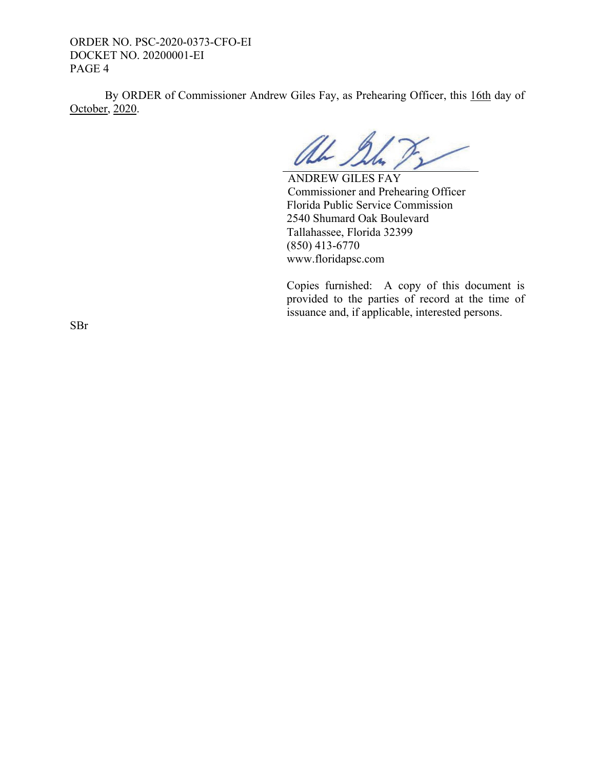ORDER NO. PSC-2020-0373-CFO-EI DOCKET NO. 20200001-EI PAGE 4

 By ORDER of Commissioner Andrew Giles Fay, as Prehearing Officer, this 16th day of October, 2020.

UL 1

 ANDREW GILES FAY Commissioner and Prehearing Officer Florida Public Service Commission 2540 Shumard Oak Boulevard Tallahassee, Florida 32399 (850) 413-6770 www.floridapsc.com

Copies furnished: A copy of this document is provided to the parties of record at the time of issuance and, if applicable, interested persons.

SBr